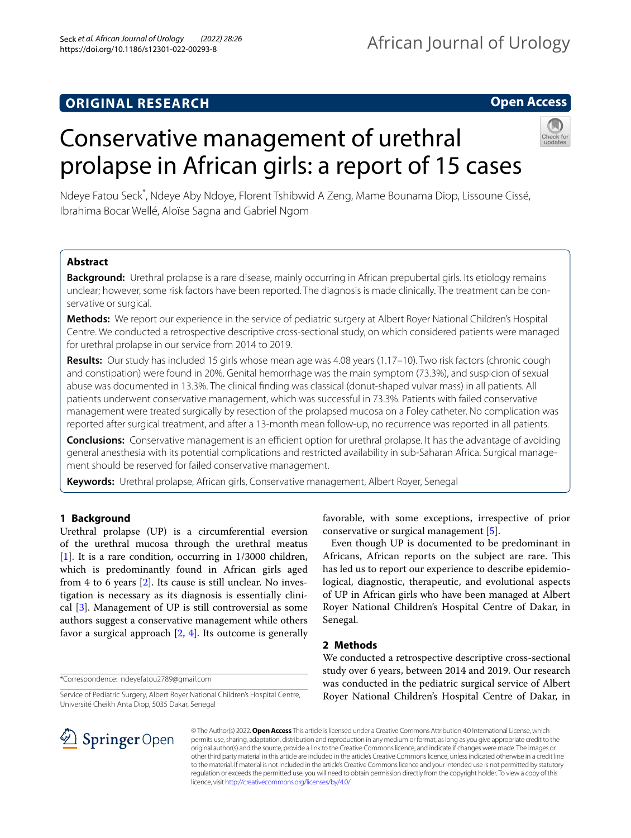## **ORIGINAL RESEARCH**

## **Open Access**

# Conservative management of urethral prolapse in African girls: a report of 15 cases



Ndeye Fatou Seck\* , Ndeye Aby Ndoye, Florent Tshibwid A Zeng, Mame Bounama Diop, Lissoune Cissé, Ibrahima Bocar Wellé, Aloïse Sagna and Gabriel Ngom

## **Abstract**

**Background:** Urethral prolapse is a rare disease, mainly occurring in African prepubertal girls. Its etiology remains unclear; however, some risk factors have been reported. The diagnosis is made clinically. The treatment can be conservative or surgical.

**Methods:** We report our experience in the service of pediatric surgery at Albert Royer National Children's Hospital Centre. We conducted a retrospective descriptive cross-sectional study, on which considered patients were managed for urethral prolapse in our service from 2014 to 2019.

**Results:** Our study has included 15 girls whose mean age was 4.08 years (1.17–10). Two risk factors (chronic cough and constipation) were found in 20%. Genital hemorrhage was the main symptom (73.3%), and suspicion of sexual abuse was documented in 13.3%. The clinical fnding was classical (donut-shaped vulvar mass) in all patients. All patients underwent conservative management, which was successful in 73.3%. Patients with failed conservative management were treated surgically by resection of the prolapsed mucosa on a Foley catheter. No complication was reported after surgical treatment, and after a 13-month mean follow-up, no recurrence was reported in all patients.

**Conclusions:** Conservative management is an efficient option for urethral prolapse. It has the advantage of avoiding general anesthesia with its potential complications and restricted availability in sub-Saharan Africa. Surgical management should be reserved for failed conservative management.

**Keywords:** Urethral prolapse, African girls, Conservative management, Albert Royer, Senegal

## **1 Background**

Urethral prolapse (UP) is a circumferential eversion of the urethral mucosa through the urethral meatus [[1\]](#page-3-0). It is a rare condition, occurring in 1/3000 children, which is predominantly found in African girls aged from 4 to 6 years [[2\]](#page-3-1). Its cause is still unclear. No investigation is necessary as its diagnosis is essentially clinical [[3\]](#page-3-2). Management of UP is still controversial as some authors suggest a conservative management while others favor a surgical approach  $[2, 4]$  $[2, 4]$  $[2, 4]$  $[2, 4]$ . Its outcome is generally

\*Correspondence: ndeyefatou2789@gmail.com

Service of Pediatric Surgery, Albert Royer National Children's Hospital Centre, Université Cheikh Anta Diop, 5035 Dakar, Senegal

SpringerOpen

favorable, with some exceptions, irrespective of prior conservative or surgical management [\[5](#page-3-4)].

Even though UP is documented to be predominant in Africans, African reports on the subject are rare. This has led us to report our experience to describe epidemiological, diagnostic, therapeutic, and evolutional aspects of UP in African girls who have been managed at Albert Royer National Children's Hospital Centre of Dakar, in Senegal.

## **2 Methods**

We conducted a retrospective descriptive cross-sectional study over 6 years, between 2014 and 2019. Our research was conducted in the pediatric surgical service of Albert Royer National Children's Hospital Centre of Dakar, in

© The Author(s) 2022. **Open Access** This article is licensed under a Creative Commons Attribution 4.0 International License, which permits use, sharing, adaptation, distribution and reproduction in any medium or format, as long as you give appropriate credit to the original author(s) and the source, provide a link to the Creative Commons licence, and indicate if changes were made. The images or other third party material in this article are included in the article's Creative Commons licence, unless indicated otherwise in a credit line to the material. If material is not included in the article's Creative Commons licence and your intended use is not permitted by statutory regulation or exceeds the permitted use, you will need to obtain permission directly from the copyright holder. To view a copy of this licence, visit [http://creativecommons.org/licenses/by/4.0/.](http://creativecommons.org/licenses/by/4.0/)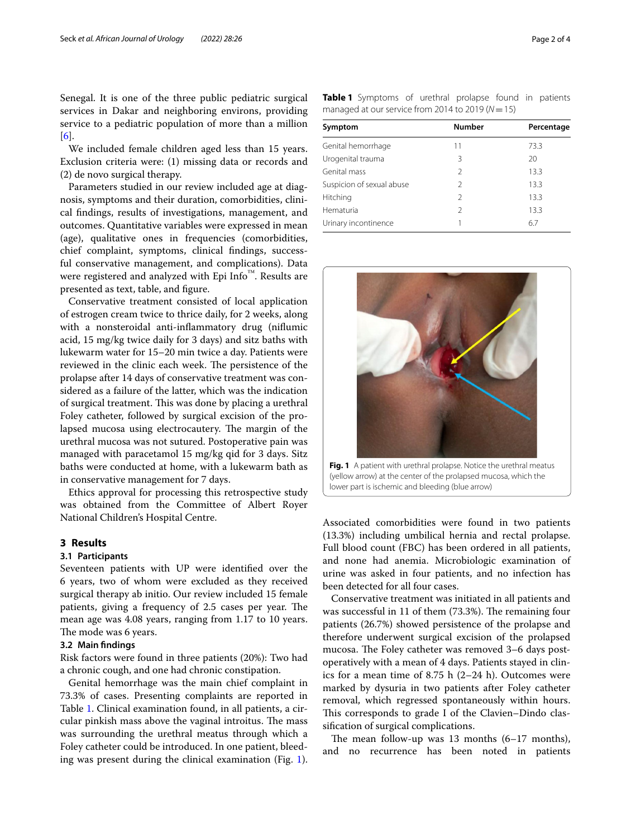Senegal. It is one of the three public pediatric surgical services in Dakar and neighboring environs, providing service to a pediatric population of more than a million [[6\]](#page-3-5).

We included female children aged less than 15 years. Exclusion criteria were: (1) missing data or records and (2) de novo surgical therapy.

Parameters studied in our review included age at diagnosis, symptoms and their duration, comorbidities, clinical fndings, results of investigations, management, and outcomes. Quantitative variables were expressed in mean (age), qualitative ones in frequencies (comorbidities, chief complaint, symptoms, clinical fndings, successful conservative management, and complications). Data were registered and analyzed with Epi Info™. Results are presented as text, table, and fgure.

Conservative treatment consisted of local application of estrogen cream twice to thrice daily, for 2 weeks, along with a nonsteroidal anti-infammatory drug (nifumic acid, 15 mg/kg twice daily for 3 days) and sitz baths with lukewarm water for 15–20 min twice a day. Patients were reviewed in the clinic each week. The persistence of the prolapse after 14 days of conservative treatment was considered as a failure of the latter, which was the indication of surgical treatment. This was done by placing a urethral Foley catheter, followed by surgical excision of the prolapsed mucosa using electrocautery. The margin of the urethral mucosa was not sutured. Postoperative pain was managed with paracetamol 15 mg/kg qid for 3 days. Sitz baths were conducted at home, with a lukewarm bath as in conservative management for 7 days.

Ethics approval for processing this retrospective study was obtained from the Committee of Albert Royer National Children's Hospital Centre.

## **3 Results**

#### **3.1 Participants**

Seventeen patients with UP were identifed over the 6 years, two of whom were excluded as they received surgical therapy ab initio. Our review included 15 female patients, giving a frequency of 2.5 cases per year. The mean age was 4.08 years, ranging from 1.17 to 10 years. The mode was 6 years.

#### **3.2 Main fndings**

Risk factors were found in three patients (20%): Two had a chronic cough, and one had chronic constipation.

Genital hemorrhage was the main chief complaint in 73.3% of cases. Presenting complaints are reported in Table [1.](#page-1-0) Clinical examination found, in all patients, a circular pinkish mass above the vaginal introitus. The mass was surrounding the urethral meatus through which a Foley catheter could be introduced. In one patient, bleeding was present during the clinical examination (Fig. [1](#page-1-1)). <span id="page-1-0"></span>**Table 1** Symptoms of urethral prolapse found in patients managed at our service from 2014 to 2019 ( $N=15$ )

| Symptom                   | <b>Number</b> | Percentage |
|---------------------------|---------------|------------|
|                           |               |            |
| Genital hemorrhage        | 11            | 73.3       |
| Urogenital trauma         | 3             | 20         |
| Genital mass              | $\mathcal{P}$ | 13.3       |
| Suspicion of sexual abuse | 2             | 13.3       |
| Hitching                  | 2             | 13.3       |
| Hematuria                 | $\mathcal{P}$ | 13.3       |
| Urinary incontinence      |               | 6.7        |



(yellow arrow) at the center of the prolapsed mucosa, which the lower part is ischemic and bleeding (blue arrow)

<span id="page-1-1"></span>Associated comorbidities were found in two patients (13.3%) including umbilical hernia and rectal prolapse. Full blood count (FBC) has been ordered in all patients, and none had anemia. Microbiologic examination of urine was asked in four patients, and no infection has been detected for all four cases.

Conservative treatment was initiated in all patients and was successful in 11 of them (73.3%). The remaining four patients (26.7%) showed persistence of the prolapse and therefore underwent surgical excision of the prolapsed mucosa. The Foley catheter was removed 3-6 days postoperatively with a mean of 4 days. Patients stayed in clinics for a mean time of 8.75 h (2–24 h). Outcomes were marked by dysuria in two patients after Foley catheter removal, which regressed spontaneously within hours. This corresponds to grade I of the Clavien–Dindo classifcation of surgical complications.

The mean follow-up was  $13$  months  $(6-17$  months), and no recurrence has been noted in patients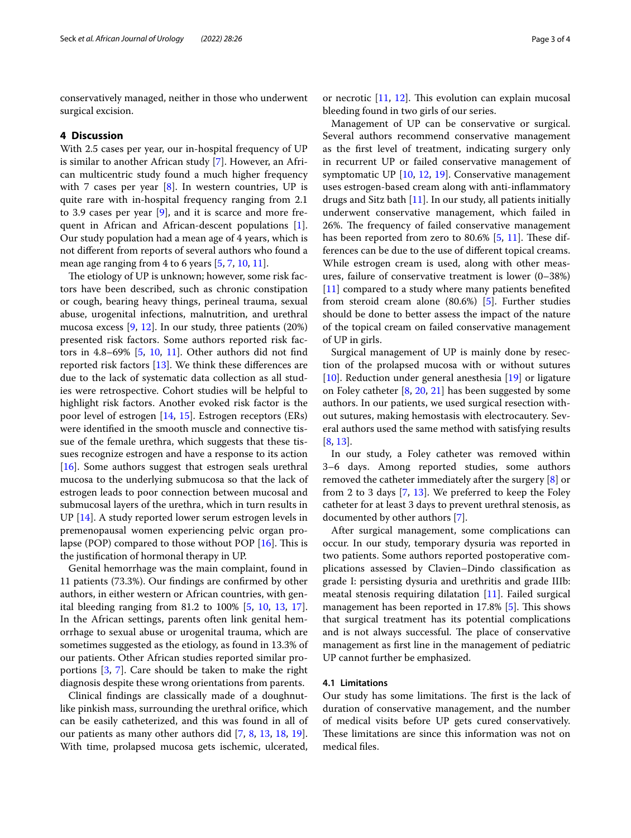conservatively managed, neither in those who underwent surgical excision.

#### **4 Discussion**

With 2.5 cases per year, our in-hospital frequency of UP is similar to another African study [[7\]](#page-3-6). However, an African multicentric study found a much higher frequency with 7 cases per year  $[8]$  $[8]$ . In western countries, UP is quite rare with in-hospital frequency ranging from 2.1 to 3.9 cases per year [\[9](#page-3-8)], and it is scarce and more frequent in African and African-descent populations [\[1](#page-3-0)]. Our study population had a mean age of 4 years, which is not diferent from reports of several authors who found a mean age ranging from 4 to 6 years [\[5](#page-3-4), [7,](#page-3-6) [10,](#page-3-9) [11](#page-3-10)].

The etiology of UP is unknown; however, some risk factors have been described, such as chronic constipation or cough, bearing heavy things, perineal trauma, sexual abuse, urogenital infections, malnutrition, and urethral mucosa excess [[9,](#page-3-8) [12\]](#page-3-11). In our study, three patients (20%) presented risk factors. Some authors reported risk factors in 4.8–69% [\[5](#page-3-4), [10](#page-3-9), [11\]](#page-3-10). Other authors did not fnd reported risk factors [\[13](#page-3-12)]. We think these diferences are due to the lack of systematic data collection as all studies were retrospective. Cohort studies will be helpful to highlight risk factors. Another evoked risk factor is the poor level of estrogen [[14,](#page-3-13) [15](#page-3-14)]. Estrogen receptors (ERs) were identifed in the smooth muscle and connective tissue of the female urethra, which suggests that these tissues recognize estrogen and have a response to its action [[16\]](#page-3-15). Some authors suggest that estrogen seals urethral mucosa to the underlying submucosa so that the lack of estrogen leads to poor connection between mucosal and submucosal layers of the urethra, which in turn results in UP [\[14](#page-3-13)]. A study reported lower serum estrogen levels in premenopausal women experiencing pelvic organ prolapse (POP) compared to those without POP  $[16]$  $[16]$ . This is the justifcation of hormonal therapy in UP.

Genital hemorrhage was the main complaint, found in 11 patients (73.3%). Our fndings are confrmed by other authors, in either western or African countries, with genital bleeding ranging from 81.2 to 100% [[5,](#page-3-4) [10](#page-3-9), [13](#page-3-12), [17](#page-3-16)]. In the African settings, parents often link genital hemorrhage to sexual abuse or urogenital trauma, which are sometimes suggested as the etiology, as found in 13.3% of our patients. Other African studies reported similar proportions [\[3](#page-3-2), [7\]](#page-3-6). Care should be taken to make the right diagnosis despite these wrong orientations from parents.

Clinical fndings are classically made of a doughnutlike pinkish mass, surrounding the urethral orifce, which can be easily catheterized, and this was found in all of our patients as many other authors did [[7,](#page-3-6) [8,](#page-3-7) [13,](#page-3-12) [18](#page-3-17), [19](#page-3-18)]. With time, prolapsed mucosa gets ischemic, ulcerated,

or necrotic  $[11, 12]$  $[11, 12]$  $[11, 12]$  $[11, 12]$ . This evolution can explain mucosal bleeding found in two girls of our series.

Management of UP can be conservative or surgical. Several authors recommend conservative management as the frst level of treatment, indicating surgery only in recurrent UP or failed conservative management of symptomatic UP [\[10,](#page-3-9) [12](#page-3-11), [19](#page-3-18)]. Conservative management uses estrogen-based cream along with anti-infammatory drugs and Sitz bath  $[11]$  $[11]$ . In our study, all patients initially underwent conservative management, which failed in 26%. The frequency of failed conservative management has been reported from zero to  $80.6\%$  [[5,](#page-3-4) [11\]](#page-3-10). These differences can be due to the use of diferent topical creams. While estrogen cream is used, along with other measures, failure of conservative treatment is lower (0–38%) [[11\]](#page-3-10) compared to a study where many patients benefited from steroid cream alone (80.6%) [[5\]](#page-3-4). Further studies should be done to better assess the impact of the nature of the topical cream on failed conservative management of UP in girls.

Surgical management of UP is mainly done by resection of the prolapsed mucosa with or without sutures [[10\]](#page-3-9). Reduction under general anesthesia [[19\]](#page-3-18) or ligature on Foley catheter [[8,](#page-3-7) [20,](#page-3-19) [21\]](#page-3-20) has been suggested by some authors. In our patients, we used surgical resection without sutures, making hemostasis with electrocautery. Several authors used the same method with satisfying results [[8,](#page-3-7) [13](#page-3-12)].

In our study, a Foley catheter was removed within 3–6 days. Among reported studies, some authors removed the catheter immediately after the surgery [\[8](#page-3-7)] or from 2 to 3 days [[7,](#page-3-6) [13](#page-3-12)]. We preferred to keep the Foley catheter for at least 3 days to prevent urethral stenosis, as documented by other authors [\[7](#page-3-6)].

After surgical management, some complications can occur. In our study, temporary dysuria was reported in two patients. Some authors reported postoperative complications assessed by Clavien–Dindo classifcation as grade I: persisting dysuria and urethritis and grade IIIb: meatal stenosis requiring dilatation [[11\]](#page-3-10). Failed surgical management has been reported in  $17.8\%$  [[5\]](#page-3-4). This shows that surgical treatment has its potential complications and is not always successful. The place of conservative management as frst line in the management of pediatric UP cannot further be emphasized.

#### **4.1 Limitations**

Our study has some limitations. The first is the lack of duration of conservative management, and the number of medical visits before UP gets cured conservatively. These limitations are since this information was not on medical fles.